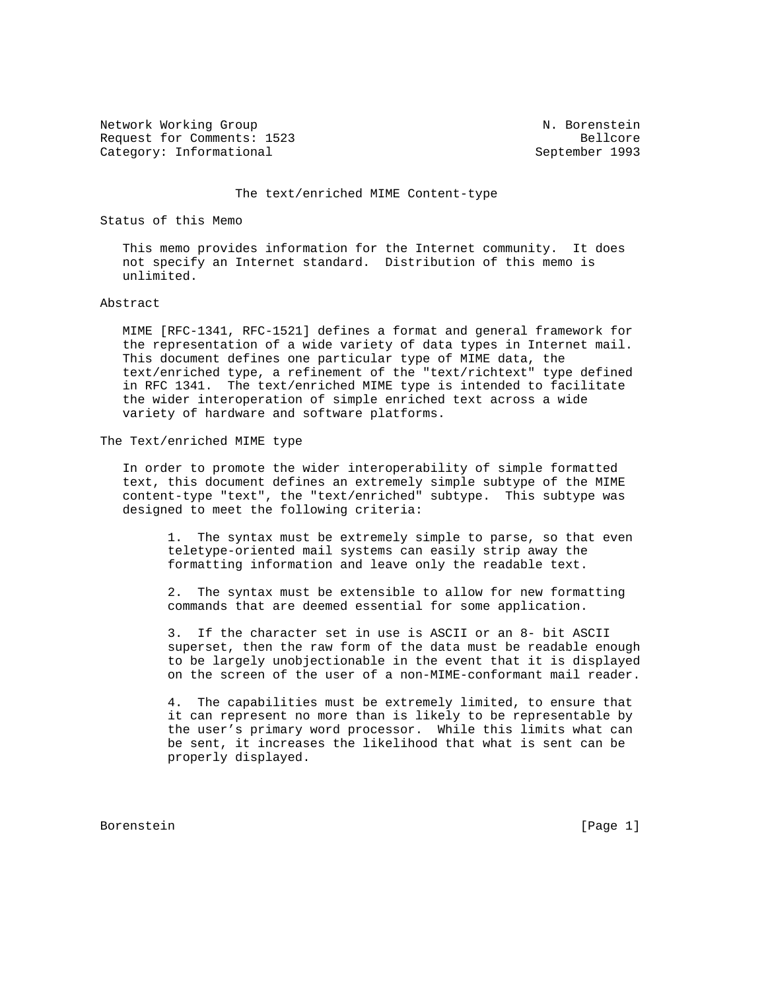Network Working Group N. Borenstein Request for Comments: 1523 Bellcore Category: Informational September 1993

### The text/enriched MIME Content-type

Status of this Memo

 This memo provides information for the Internet community. It does not specify an Internet standard. Distribution of this memo is unlimited.

## Abstract

 MIME [RFC-1341, RFC-1521] defines a format and general framework for the representation of a wide variety of data types in Internet mail. This document defines one particular type of MIME data, the text/enriched type, a refinement of the "text/richtext" type defined in RFC 1341. The text/enriched MIME type is intended to facilitate the wider interoperation of simple enriched text across a wide variety of hardware and software platforms.

The Text/enriched MIME type

 In order to promote the wider interoperability of simple formatted text, this document defines an extremely simple subtype of the MIME content-type "text", the "text/enriched" subtype. This subtype was designed to meet the following criteria:

 1. The syntax must be extremely simple to parse, so that even teletype-oriented mail systems can easily strip away the formatting information and leave only the readable text.

 2. The syntax must be extensible to allow for new formatting commands that are deemed essential for some application.

 3. If the character set in use is ASCII or an 8- bit ASCII superset, then the raw form of the data must be readable enough to be largely unobjectionable in the event that it is displayed on the screen of the user of a non-MIME-conformant mail reader.

 4. The capabilities must be extremely limited, to ensure that it can represent no more than is likely to be representable by the user's primary word processor. While this limits what can be sent, it increases the likelihood that what is sent can be properly displayed.

Borenstein [Page 1]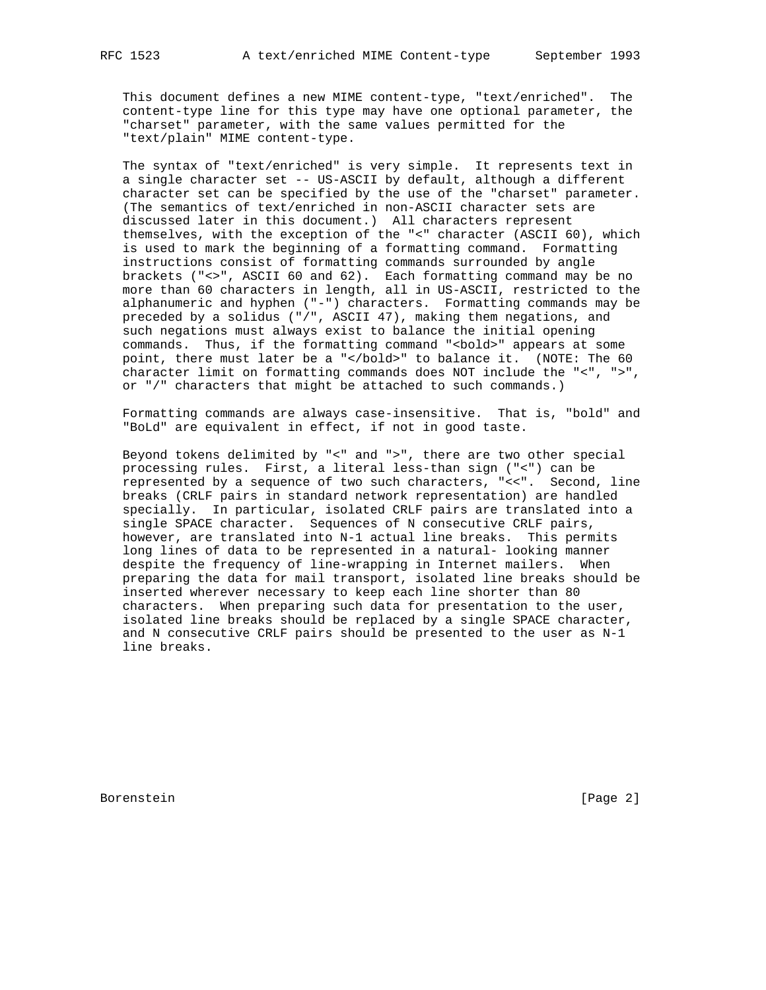This document defines a new MIME content-type, "text/enriched". The content-type line for this type may have one optional parameter, the "charset" parameter, with the same values permitted for the "text/plain" MIME content-type.

 The syntax of "text/enriched" is very simple. It represents text in a single character set -- US-ASCII by default, although a different character set can be specified by the use of the "charset" parameter. (The semantics of text/enriched in non-ASCII character sets are discussed later in this document.) All characters represent themselves, with the exception of the "<" character (ASCII 60), which is used to mark the beginning of a formatting command. Formatting instructions consist of formatting commands surrounded by angle brackets ("<>", ASCII 60 and 62). Each formatting command may be no more than 60 characters in length, all in US-ASCII, restricted to the alphanumeric and hyphen ("-") characters. Formatting commands may be preceded by a solidus ("/", ASCII 47), making them negations, and such negations must always exist to balance the initial opening commands. Thus, if the formatting command "<bold>" appears at some point, there must later be a "</bold>" to balance it. (NOTE: The 60 character limit on formatting commands does NOT include the "<", ">", or "/" characters that might be attached to such commands.)

 Formatting commands are always case-insensitive. That is, "bold" and "BoLd" are equivalent in effect, if not in good taste.

 Beyond tokens delimited by "<" and ">", there are two other special processing rules. First, a literal less-than sign ("<") can be represented by a sequence of two such characters, "<<". Second, line breaks (CRLF pairs in standard network representation) are handled specially. In particular, isolated CRLF pairs are translated into a single SPACE character. Sequences of N consecutive CRLF pairs, however, are translated into N-1 actual line breaks. This permits long lines of data to be represented in a natural- looking manner despite the frequency of line-wrapping in Internet mailers. When preparing the data for mail transport, isolated line breaks should be inserted wherever necessary to keep each line shorter than 80 characters. When preparing such data for presentation to the user, isolated line breaks should be replaced by a single SPACE character, and N consecutive CRLF pairs should be presented to the user as N-1 line breaks.

Borenstein [Page 2]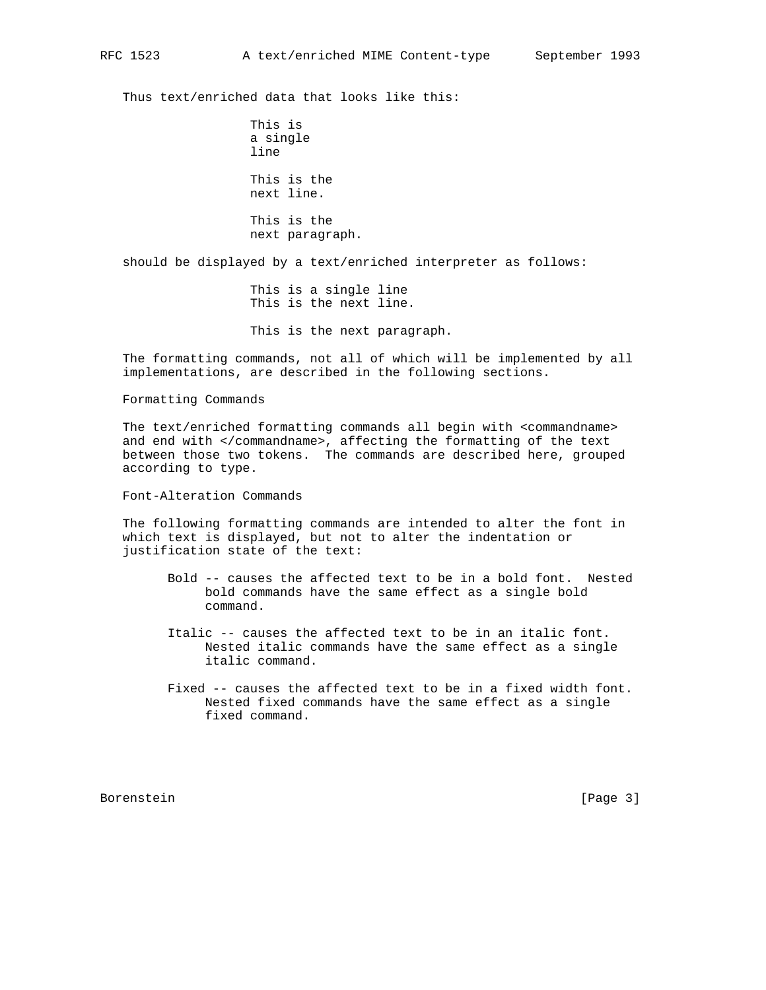Thus text/enriched data that looks like this:

 This is a single line This is the next line. This is the next paragraph.

should be displayed by a text/enriched interpreter as follows:

 This is a single line This is the next line. This is the next paragraph.

 The formatting commands, not all of which will be implemented by all implementations, are described in the following sections.

Formatting Commands

 The text/enriched formatting commands all begin with <commandname> and end with </commandname>, affecting the formatting of the text between those two tokens. The commands are described here, grouped according to type.

Font-Alteration Commands

 The following formatting commands are intended to alter the font in which text is displayed, but not to alter the indentation or justification state of the text:

- Bold -- causes the affected text to be in a bold font. Nested bold commands have the same effect as a single bold command.
- Italic -- causes the affected text to be in an italic font. Nested italic commands have the same effect as a single italic command.
- Fixed -- causes the affected text to be in a fixed width font. Nested fixed commands have the same effect as a single fixed command.

Borenstein [Page 3]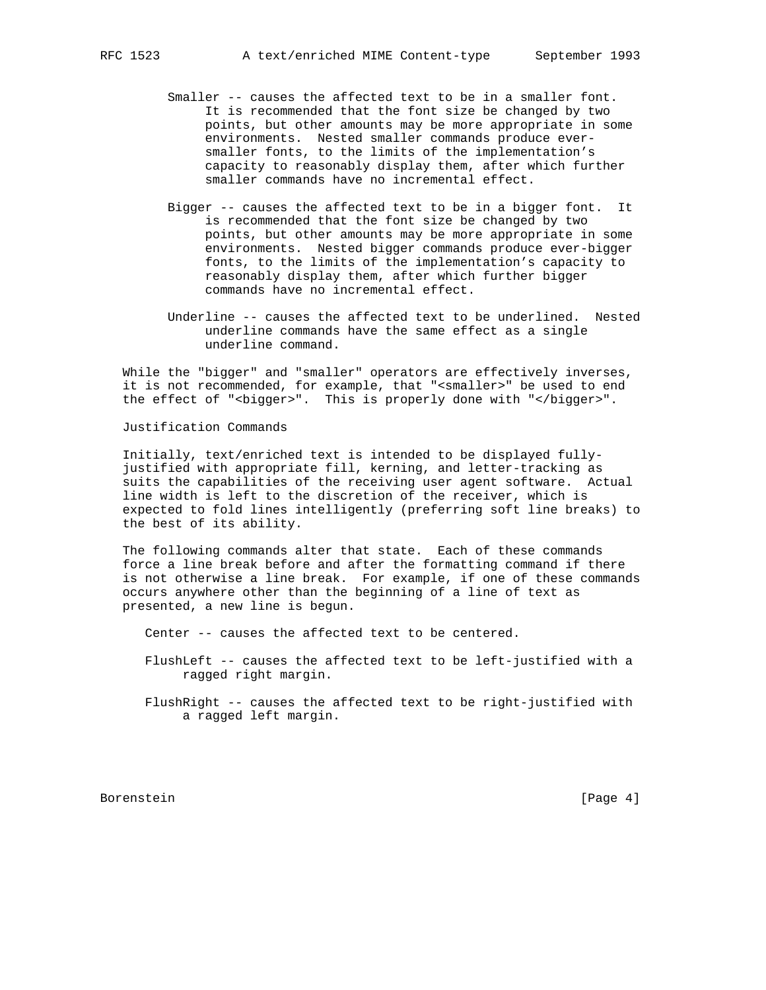- Smaller -- causes the affected text to be in a smaller font. It is recommended that the font size be changed by two points, but other amounts may be more appropriate in some environments. Nested smaller commands produce ever smaller fonts, to the limits of the implementation's capacity to reasonably display them, after which further smaller commands have no incremental effect.
- Bigger -- causes the affected text to be in a bigger font. It is recommended that the font size be changed by two points, but other amounts may be more appropriate in some environments. Nested bigger commands produce ever-bigger fonts, to the limits of the implementation's capacity to reasonably display them, after which further bigger commands have no incremental effect.
- Underline -- causes the affected text to be underlined. Nested underline commands have the same effect as a single underline command.

 While the "bigger" and "smaller" operators are effectively inverses, it is not recommended, for example, that "<smaller>" be used to end the effect of "<br/>bigger>". This is properly done with "</bigger>".

Justification Commands

 Initially, text/enriched text is intended to be displayed fully justified with appropriate fill, kerning, and letter-tracking as suits the capabilities of the receiving user agent software. Actual line width is left to the discretion of the receiver, which is expected to fold lines intelligently (preferring soft line breaks) to the best of its ability.

 The following commands alter that state. Each of these commands force a line break before and after the formatting command if there is not otherwise a line break. For example, if one of these commands occurs anywhere other than the beginning of a line of text as presented, a new line is begun.

Center -- causes the affected text to be centered.

- FlushLeft -- causes the affected text to be left-justified with a ragged right margin.
- FlushRight -- causes the affected text to be right-justified with a ragged left margin.

Borenstein [Page 4]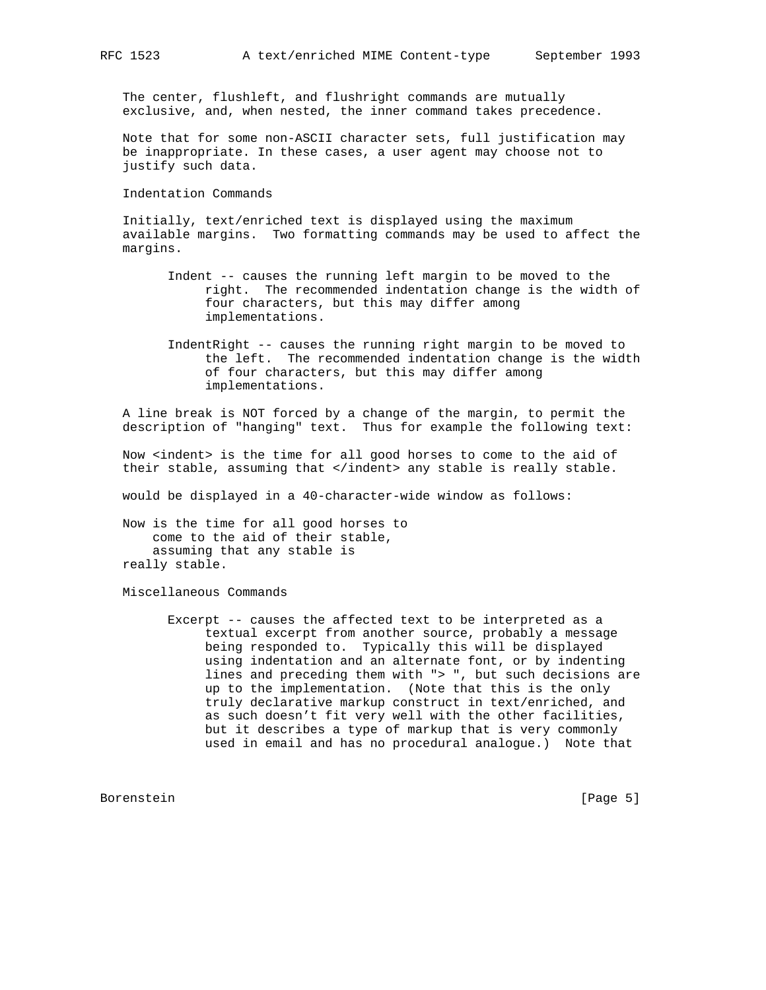The center, flushleft, and flushright commands are mutually exclusive, and, when nested, the inner command takes precedence.

 Note that for some non-ASCII character sets, full justification may be inappropriate. In these cases, a user agent may choose not to justify such data.

Indentation Commands

 Initially, text/enriched text is displayed using the maximum available margins. Two formatting commands may be used to affect the margins.

- Indent -- causes the running left margin to be moved to the right. The recommended indentation change is the width of four characters, but this may differ among implementations.
- IndentRight -- causes the running right margin to be moved to the left. The recommended indentation change is the width of four characters, but this may differ among implementations.

 A line break is NOT forced by a change of the margin, to permit the description of "hanging" text. Thus for example the following text:

 Now <indent> is the time for all good horses to come to the aid of their stable, assuming that </indent> any stable is really stable.

would be displayed in a 40-character-wide window as follows:

 Now is the time for all good horses to come to the aid of their stable, assuming that any stable is really stable.

Miscellaneous Commands

 Excerpt -- causes the affected text to be interpreted as a textual excerpt from another source, probably a message being responded to. Typically this will be displayed using indentation and an alternate font, or by indenting lines and preceding them with "> ", but such decisions are up to the implementation. (Note that this is the only truly declarative markup construct in text/enriched, and as such doesn't fit very well with the other facilities, but it describes a type of markup that is very commonly used in email and has no procedural analogue.) Note that

Borenstein [Page 5]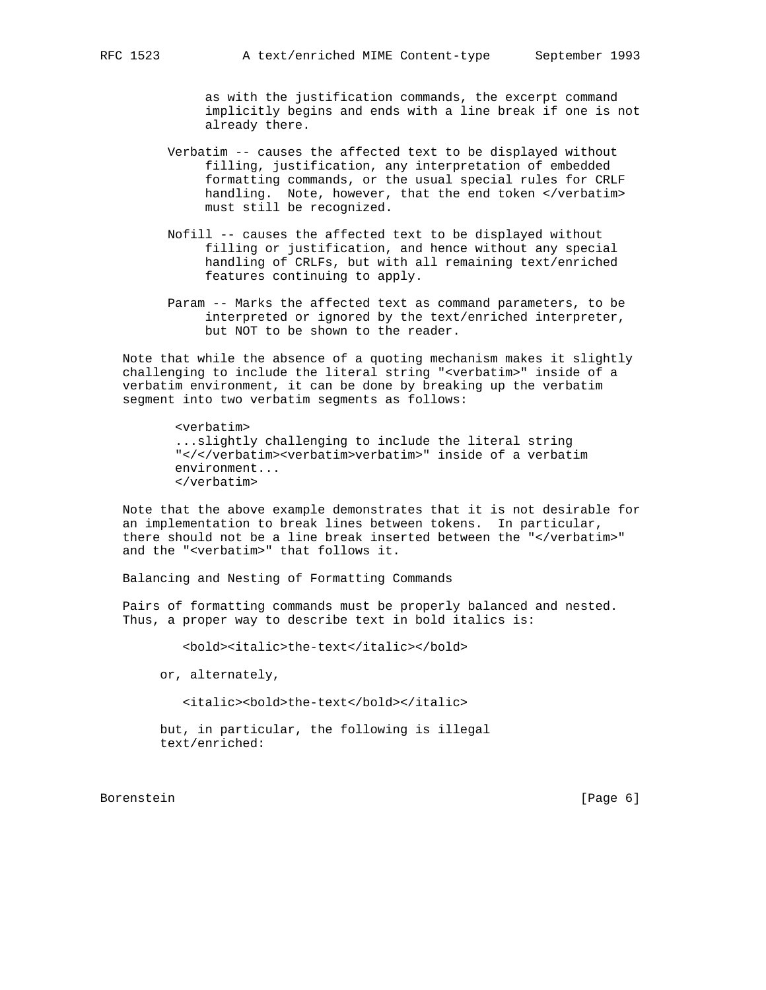as with the justification commands, the excerpt command implicitly begins and ends with a line break if one is not already there.

- Verbatim -- causes the affected text to be displayed without filling, justification, any interpretation of embedded formatting commands, or the usual special rules for CRLF handling. Note, however, that the end token </verbatim> must still be recognized.
- Nofill -- causes the affected text to be displayed without filling or justification, and hence without any special handling of CRLFs, but with all remaining text/enriched features continuing to apply.
- Param -- Marks the affected text as command parameters, to be interpreted or ignored by the text/enriched interpreter, but NOT to be shown to the reader.

 Note that while the absence of a quoting mechanism makes it slightly challenging to include the literal string "<verbatim>" inside of a verbatim environment, it can be done by breaking up the verbatim segment into two verbatim segments as follows:

> <verbatim> ...slightly challenging to include the literal string "</</verbatim><verbatim>verbatim>" inside of a verbatim environment... </verbatim>

 Note that the above example demonstrates that it is not desirable for an implementation to break lines between tokens. In particular, there should not be a line break inserted between the "</verbatim>" and the "<verbatim>" that follows it.

Balancing and Nesting of Formatting Commands

 Pairs of formatting commands must be properly balanced and nested. Thus, a proper way to describe text in bold italics is:

<bold><italic>the-text</italic></bold>

or, alternately,

<italic><bold>the-text</bold></italic>

 but, in particular, the following is illegal text/enriched:

Borenstein [Page 6]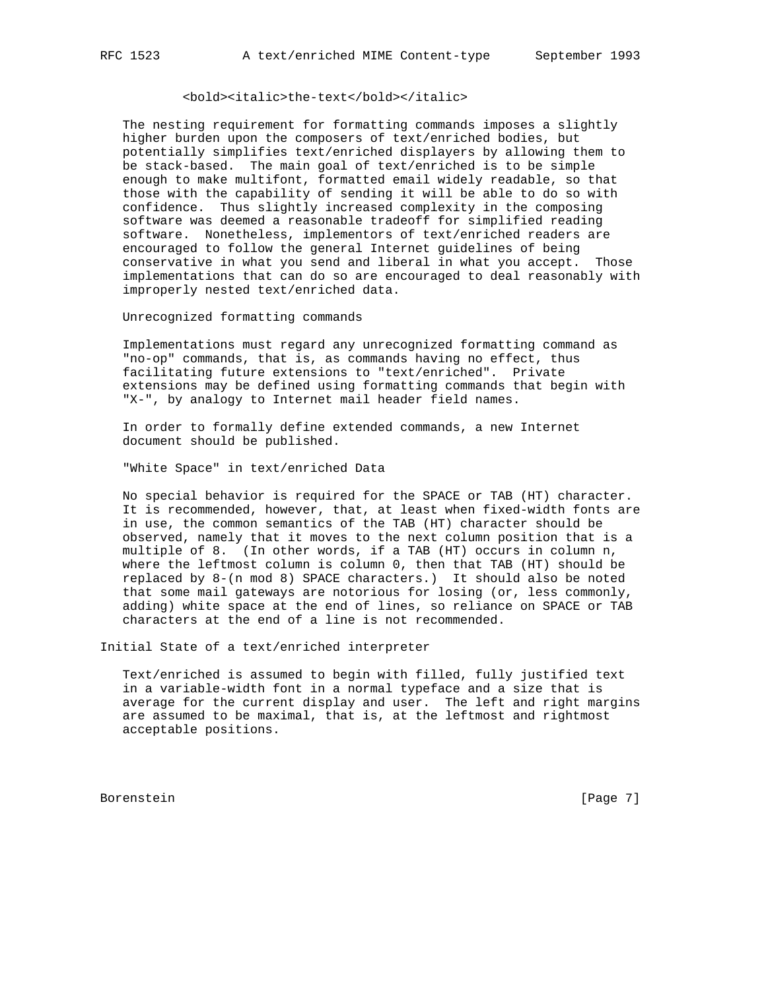# <bold><italic>the-text</bold></italic>

 The nesting requirement for formatting commands imposes a slightly higher burden upon the composers of text/enriched bodies, but potentially simplifies text/enriched displayers by allowing them to be stack-based. The main goal of text/enriched is to be simple enough to make multifont, formatted email widely readable, so that those with the capability of sending it will be able to do so with confidence. Thus slightly increased complexity in the composing software was deemed a reasonable tradeoff for simplified reading software. Nonetheless, implementors of text/enriched readers are encouraged to follow the general Internet guidelines of being conservative in what you send and liberal in what you accept. Those implementations that can do so are encouraged to deal reasonably with improperly nested text/enriched data.

Unrecognized formatting commands

 Implementations must regard any unrecognized formatting command as "no-op" commands, that is, as commands having no effect, thus facilitating future extensions to "text/enriched". Private extensions may be defined using formatting commands that begin with "X-", by analogy to Internet mail header field names.

 In order to formally define extended commands, a new Internet document should be published.

"White Space" in text/enriched Data

 No special behavior is required for the SPACE or TAB (HT) character. It is recommended, however, that, at least when fixed-width fonts are in use, the common semantics of the TAB (HT) character should be observed, namely that it moves to the next column position that is a multiple of 8. (In other words, if a TAB (HT) occurs in column n, where the leftmost column is column 0, then that TAB (HT) should be replaced by 8-(n mod 8) SPACE characters.) It should also be noted that some mail gateways are notorious for losing (or, less commonly, adding) white space at the end of lines, so reliance on SPACE or TAB characters at the end of a line is not recommended.

Initial State of a text/enriched interpreter

 Text/enriched is assumed to begin with filled, fully justified text in a variable-width font in a normal typeface and a size that is average for the current display and user. The left and right margins are assumed to be maximal, that is, at the leftmost and rightmost acceptable positions.

Borenstein [Page 7]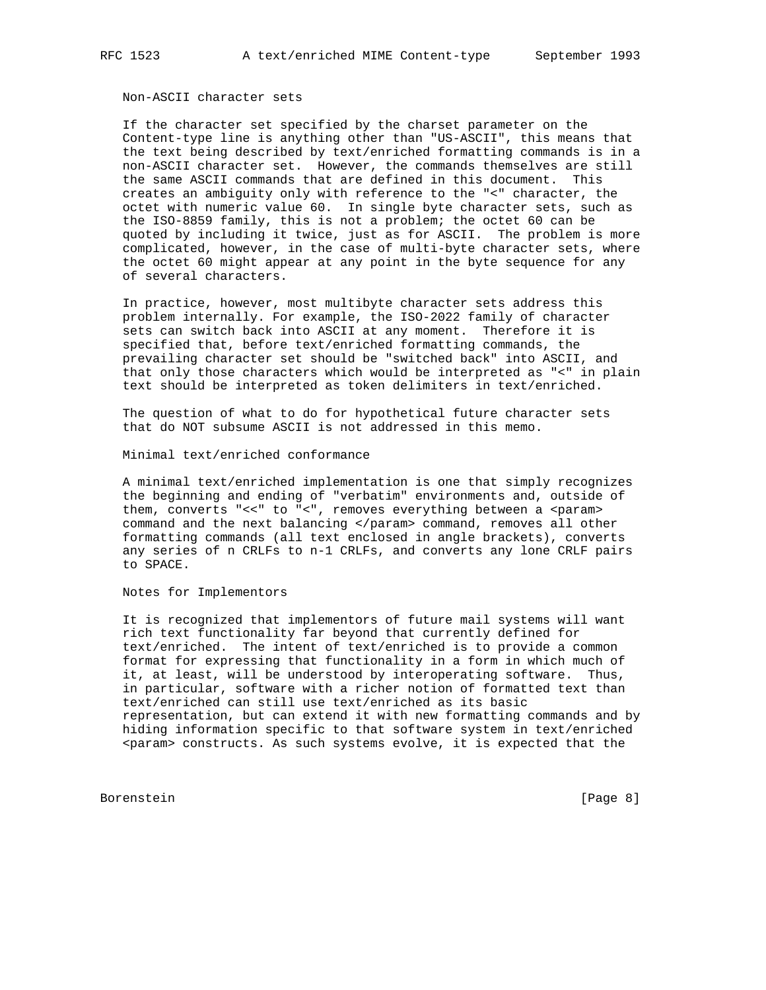## Non-ASCII character sets

 If the character set specified by the charset parameter on the Content-type line is anything other than "US-ASCII", this means that the text being described by text/enriched formatting commands is in a non-ASCII character set. However, the commands themselves are still the same ASCII commands that are defined in this document. This creates an ambiguity only with reference to the "<" character, the octet with numeric value 60. In single byte character sets, such as the ISO-8859 family, this is not a problem; the octet 60 can be quoted by including it twice, just as for ASCII. The problem is more complicated, however, in the case of multi-byte character sets, where the octet 60 might appear at any point in the byte sequence for any of several characters.

 In practice, however, most multibyte character sets address this problem internally. For example, the ISO-2022 family of character sets can switch back into ASCII at any moment. Therefore it is specified that, before text/enriched formatting commands, the prevailing character set should be "switched back" into ASCII, and that only those characters which would be interpreted as "<" in plain text should be interpreted as token delimiters in text/enriched.

 The question of what to do for hypothetical future character sets that do NOT subsume ASCII is not addressed in this memo.

Minimal text/enriched conformance

 A minimal text/enriched implementation is one that simply recognizes the beginning and ending of "verbatim" environments and, outside of them, converts "<<" to "<", removes everything between a <param> command and the next balancing </param> command, removes all other formatting commands (all text enclosed in angle brackets), converts any series of n CRLFs to n-1 CRLFs, and converts any lone CRLF pairs to SPACE.

Notes for Implementors

 It is recognized that implementors of future mail systems will want rich text functionality far beyond that currently defined for text/enriched. The intent of text/enriched is to provide a common format for expressing that functionality in a form in which much of it, at least, will be understood by interoperating software. Thus, in particular, software with a richer notion of formatted text than text/enriched can still use text/enriched as its basic representation, but can extend it with new formatting commands and by hiding information specific to that software system in text/enriched <param> constructs. As such systems evolve, it is expected that the

Borenstein [Page 8]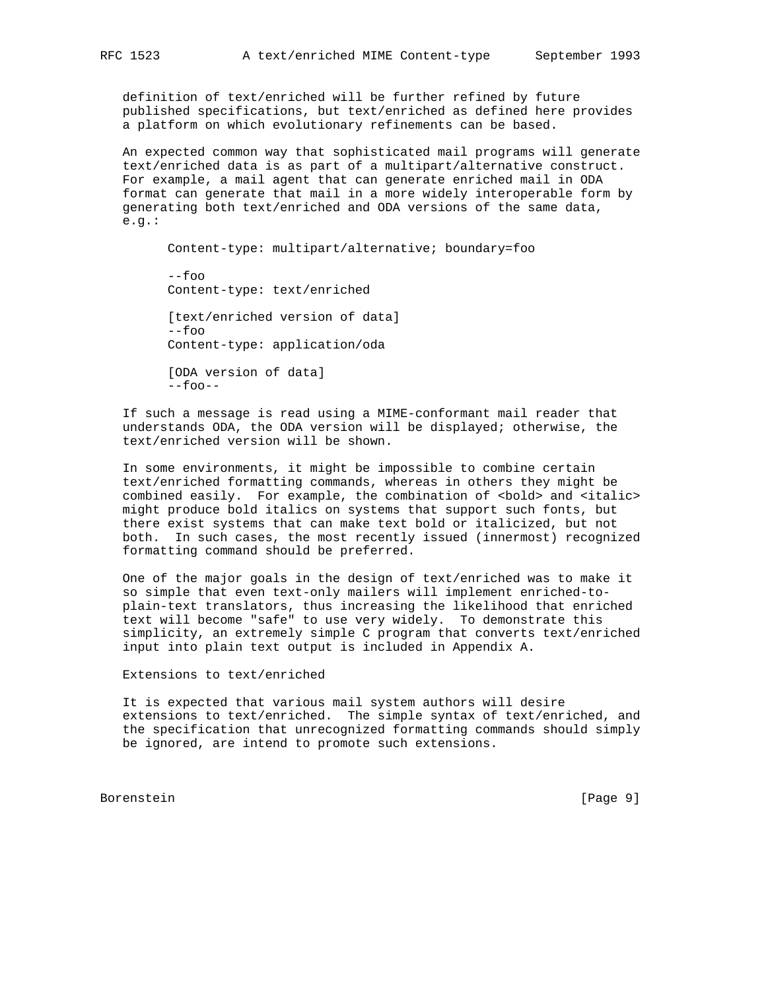definition of text/enriched will be further refined by future published specifications, but text/enriched as defined here provides a platform on which evolutionary refinements can be based.

 An expected common way that sophisticated mail programs will generate text/enriched data is as part of a multipart/alternative construct. For example, a mail agent that can generate enriched mail in ODA format can generate that mail in a more widely interoperable form by generating both text/enriched and ODA versions of the same data, e.g.:

 Content-type: multipart/alternative; boundary=foo --foo Content-type: text/enriched [text/enriched version of data] --foo Content-type: application/oda [ODA version of data]  $--$ foo $--$ 

 If such a message is read using a MIME-conformant mail reader that understands ODA, the ODA version will be displayed; otherwise, the text/enriched version will be shown.

 In some environments, it might be impossible to combine certain text/enriched formatting commands, whereas in others they might be combined easily. For example, the combination of <br/>bold> and <italic> might produce bold italics on systems that support such fonts, but there exist systems that can make text bold or italicized, but not both. In such cases, the most recently issued (innermost) recognized formatting command should be preferred.

 One of the major goals in the design of text/enriched was to make it so simple that even text-only mailers will implement enriched-to plain-text translators, thus increasing the likelihood that enriched text will become "safe" to use very widely. To demonstrate this simplicity, an extremely simple C program that converts text/enriched input into plain text output is included in Appendix A.

Extensions to text/enriched

 It is expected that various mail system authors will desire extensions to text/enriched. The simple syntax of text/enriched, and the specification that unrecognized formatting commands should simply be ignored, are intend to promote such extensions.

Borenstein [Page 9]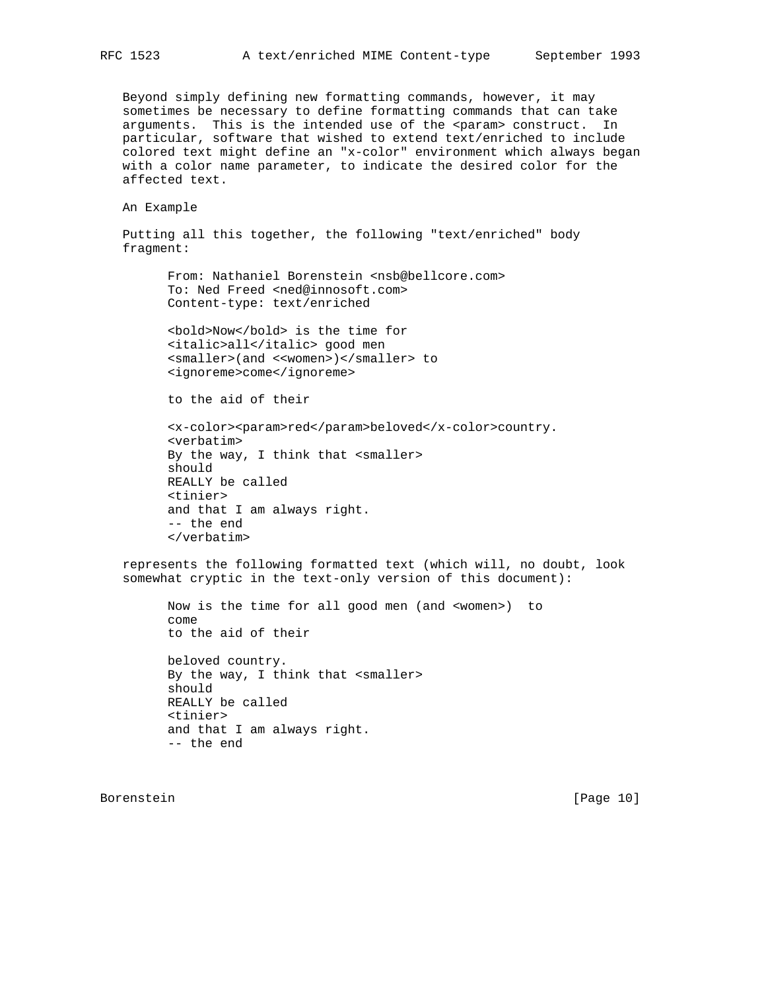Beyond simply defining new formatting commands, however, it may sometimes be necessary to define formatting commands that can take arguments. This is the intended use of the <param> construct. In particular, software that wished to extend text/enriched to include colored text might define an "x-color" environment which always began with a color name parameter, to indicate the desired color for the affected text.

An Example

 Putting all this together, the following "text/enriched" body fragment:

From: Nathaniel Borenstein <nsb@bellcore.com> To: Ned Freed <ned@innosoft.com> Content-type: text/enriched

 <bold>Now</bold> is the time for <italic>all</italic> good men <smaller>(and <<women>)</smaller> to <ignoreme>come</ignoreme>

to the aid of their

 <x-color><param>red</param>beloved</x-color>country. <verbatim> By the way, I think that <smaller> should REALLY be called <tinier> and that I am always right. -- the end </verbatim>

 represents the following formatted text (which will, no doubt, look somewhat cryptic in the text-only version of this document):

 Now is the time for all good men (and <women>) to come to the aid of their beloved country. By the way, I think that <smaller> should REALLY be called

 <tinier> and that I am always right. -- the end

Borenstein [Page 10]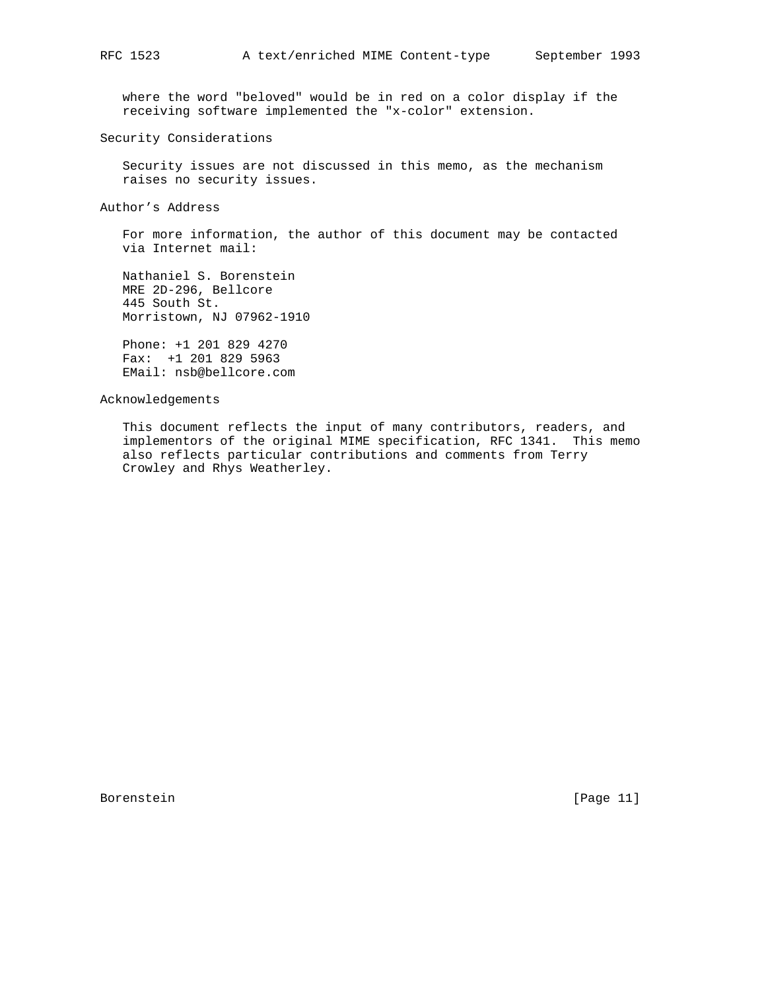where the word "beloved" would be in red on a color display if the receiving software implemented the "x-color" extension.

Security Considerations

 Security issues are not discussed in this memo, as the mechanism raises no security issues.

Author's Address

 For more information, the author of this document may be contacted via Internet mail:

 Nathaniel S. Borenstein MRE 2D-296, Bellcore 445 South St. Morristown, NJ 07962-1910

 Phone: +1 201 829 4270 Fax: +1 201 829 5963 EMail: nsb@bellcore.com

Acknowledgements

 This document reflects the input of many contributors, readers, and implementors of the original MIME specification, RFC 1341. This memo also reflects particular contributions and comments from Terry Crowley and Rhys Weatherley.

Borenstein [Page 11]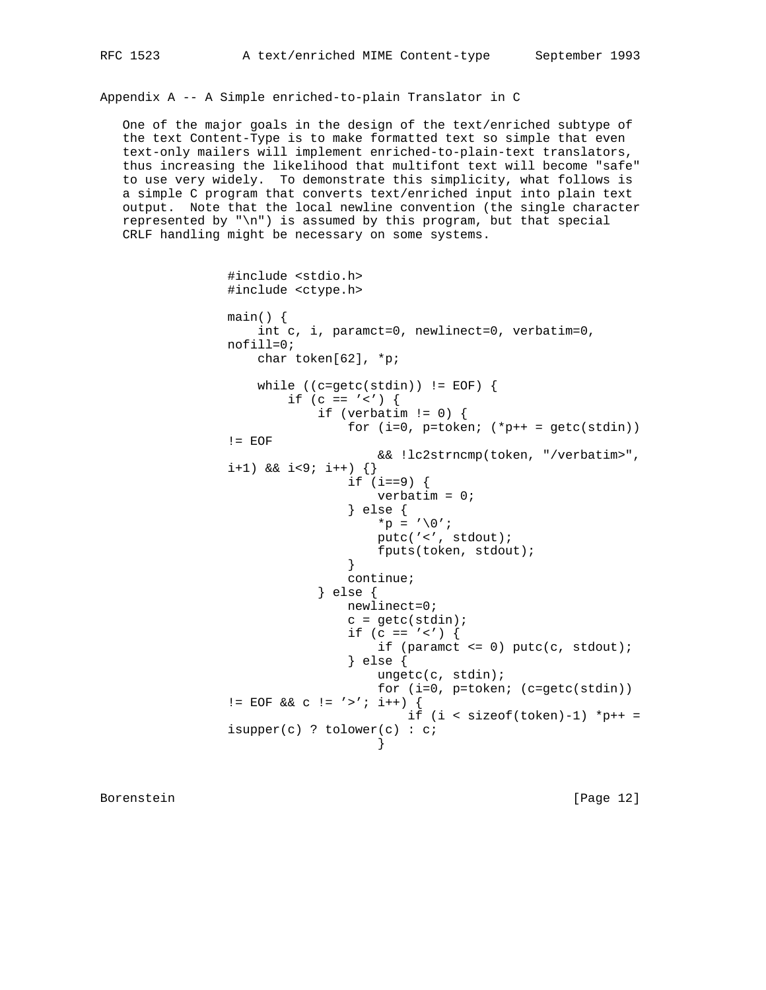Appendix A -- A Simple enriched-to-plain Translator in C

 One of the major goals in the design of the text/enriched subtype of the text Content-Type is to make formatted text so simple that even text-only mailers will implement enriched-to-plain-text translators, thus increasing the likelihood that multifont text will become "safe" to use very widely. To demonstrate this simplicity, what follows is a simple C program that converts text/enriched input into plain text output. Note that the local newline convention (the single character represented by " $\n\times$ ") is assumed by this program, but that special CRLF handling might be necessary on some systems.

```
 #include <stdio.h>
                 #include <ctype.h>
                 main() {
                    int c, i, paramct=0, newlinect=0, verbatim=0,
                 nofill=0;
                    char token[62], *p;
                   while ((c=getc(statin)) := EOF) {
                       if (c == '<') {
                           if (verbatim != 0) {
                               for (i=0, p=token; (*p++ = getc(stdin))!= EOF
                                   && !lc2strncmp(token, "/verbatim>",
                i+1) & i+9; i++) \{\} if (i==9) {
                                   verbatim = 0;
                                } else {
                                  *_{p} = ' \ 0';
                                    putc('<', stdout);
                                   fputs(token, stdout);
 }
                                continue;
                            } else {
                                newlinect=0;
                               c = getc(stdin);if (c == '<') {
                                  if (paramct \leq 0) putc(c, stdout);
                                } else {
                                    ungetc(c, stdin);
                                    for (i=0, p=token; (c=getc(stdin))
                != EOF && C != '>'; i++) {
                                      if (i < sizeof(token)-1) *p++ =
                 isupper(c) ? tolower(c) : c;
 }
```
Borenstein [Page 12]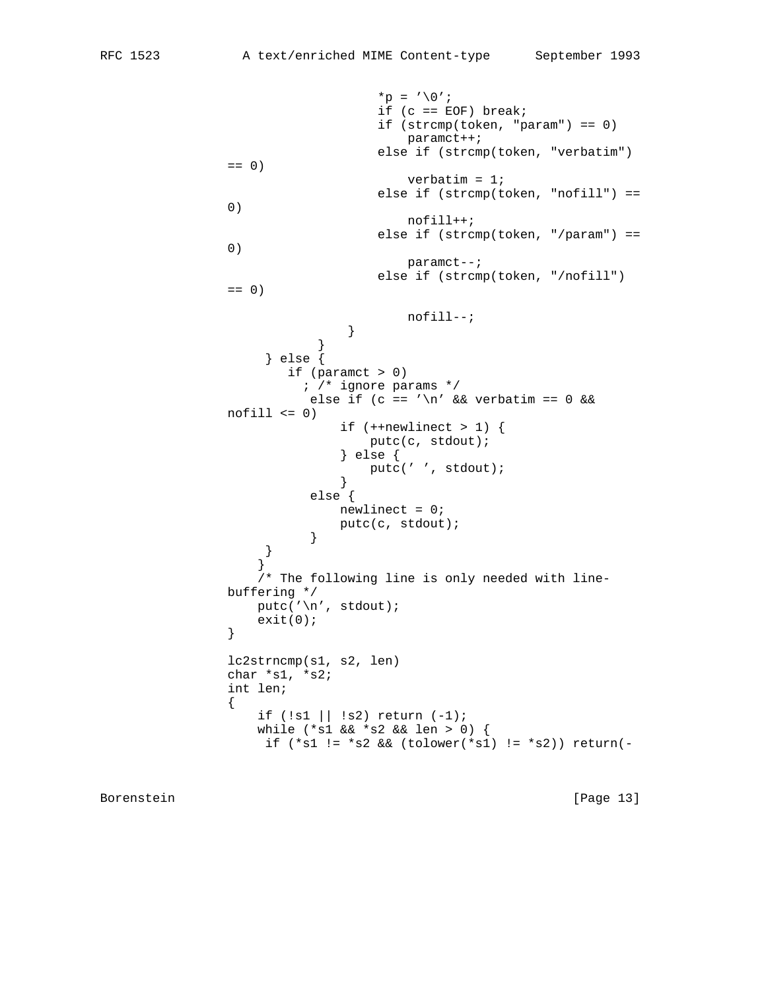```
*_{p} = ' \setminus 0';
                                if (c == EOF) break; if (strcmp(token, "param") == 0)
                                    paramct++;
                                 else if (strcmp(token, "verbatim")
              == 0) verbatim = 1;
                                 else if (strcmp(token, "nofill") ==
\begin{pmatrix} 0 \end{pmatrix} nofill++;
                                 else if (strcmp(token, "/param") ==
\begin{pmatrix} 0 \end{pmatrix} paramct--;
                                 else if (strcmp(token, "/nofill")
              = 0) nofill--;
 }
 }
                    } else {
                      if (paramct > 0)
                        ; /* ignore params */
                        else if (c == '\n\times \& verbatim == 0 \&nofill \leq 0)
                            if (++newlinect > 1) {
                                putc(c, stdout);
                             } else {
                            putc(' ', stdout);<br>}
 }
                         else {
                            newlinect = 0;
                        putc(c, stdout);<br>}
 }
 }
 }
                   /* The following line is only needed with line-
               buffering */
                 putc('\n', stdout);\{ exit(0);
 }
               lc2strncmp(s1, s2, len)
               char *s1, *s2;
               int len;
{
                   if (!s1 || !s2) return (-1);
                   while (*s1 && *s2 && len > 0) {
                   if (*s1 := *s2 \& (tolower(*s1) := *s2)) return(-
```
Borenstein [Page 13]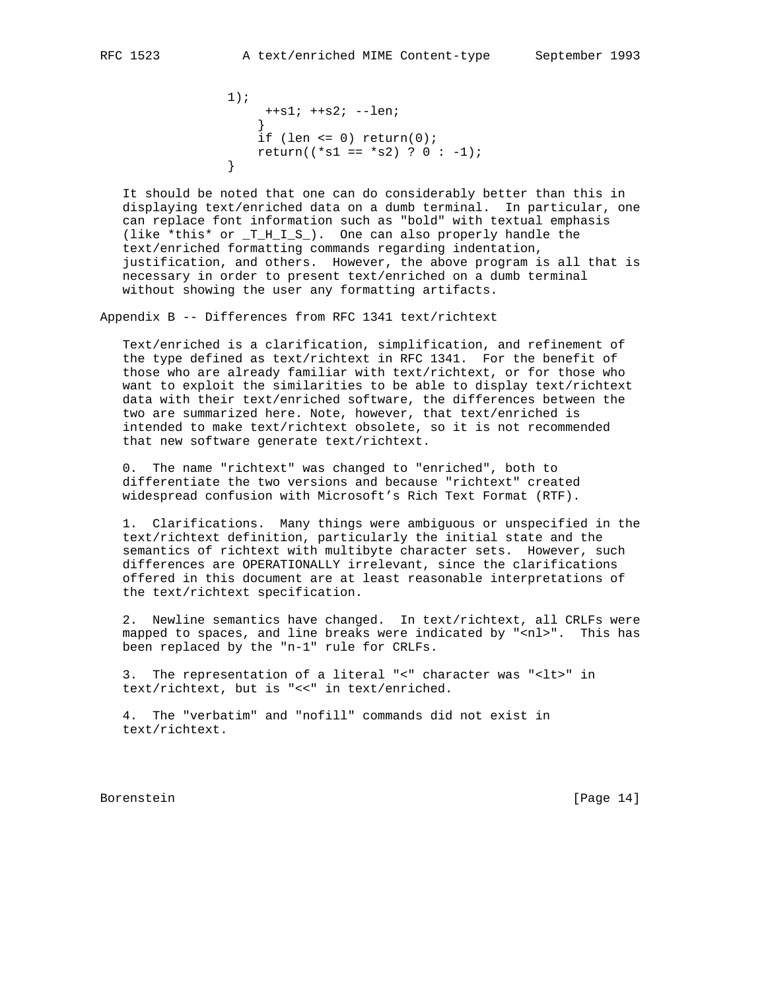```
 1);
                 ++s1; ++s2; --len;
 }
               if (len \leq 0) return(0);
            return((*s1 == *s2) ? 0 : -1);<br>}
 }
```
 It should be noted that one can do considerably better than this in displaying text/enriched data on a dumb terminal. In particular, one can replace font information such as "bold" with textual emphasis (like \*this\* or \_T\_H\_I\_S\_). One can also properly handle the text/enriched formatting commands regarding indentation, justification, and others. However, the above program is all that is necessary in order to present text/enriched on a dumb terminal without showing the user any formatting artifacts.

Appendix B -- Differences from RFC 1341 text/richtext

 Text/enriched is a clarification, simplification, and refinement of the type defined as text/richtext in RFC 1341. For the benefit of those who are already familiar with text/richtext, or for those who want to exploit the similarities to be able to display text/richtext data with their text/enriched software, the differences between the two are summarized here. Note, however, that text/enriched is intended to make text/richtext obsolete, so it is not recommended that new software generate text/richtext.

 0. The name "richtext" was changed to "enriched", both to differentiate the two versions and because "richtext" created widespread confusion with Microsoft's Rich Text Format (RTF).

 1. Clarifications. Many things were ambiguous or unspecified in the text/richtext definition, particularly the initial state and the semantics of richtext with multibyte character sets. However, such differences are OPERATIONALLY irrelevant, since the clarifications offered in this document are at least reasonable interpretations of the text/richtext specification.

 2. Newline semantics have changed. In text/richtext, all CRLFs were mapped to spaces, and line breaks were indicated by "<nl>". This has been replaced by the "n-1" rule for CRLFs.

 3. The representation of a literal "<" character was "<lt>" in text/richtext, but is "<<" in text/enriched.

 4. The "verbatim" and "nofill" commands did not exist in text/richtext.

Borenstein [Page 14]